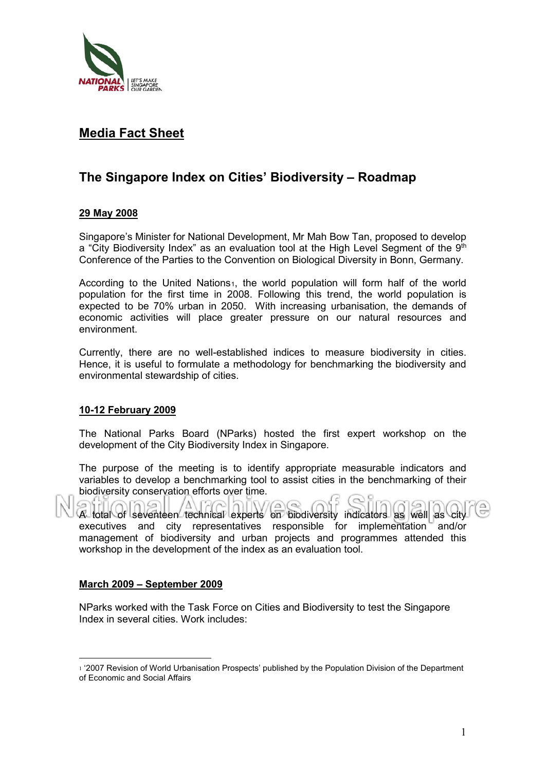

## **Media Fact Sheet**

# **The Singapore Index on Cities' Biodiversity – Roadmap**

### **29 May 2008**

Singapore's Minister for National Development, Mr Mah Bow Tan, proposed to develop a "City Biodiversity Index" as an evaluation tool at the High Level Segment of the  $9<sup>th</sup>$ Conference of the Parties to the Convention on Biological Diversity in Bonn, Germany.

According to the United Nations<sub>[1](#page-0-0)</sub>, the world population will form half of the world population for the first time in 2008. Following this trend, the world population is expected to be 70% urban in 2050. With increasing urbanisation, the demands of economic activities will place greater pressure on our natural resources and environment.

Currently, there are no well-established indices to measure biodiversity in cities. Hence, it is useful to formulate a methodology for benchmarking the biodiversity and environmental stewardship of cities.

#### **10-12 February 2009**

The National Parks Board (NParks) hosted the first expert workshop on the development of the City Biodiversity Index in Singapore.

The purpose of the meeting is to identify appropriate measurable indicators and variables to develop a benchmarking tool to assist cities in the benchmarking of their biodiversity conservation efforts over time.

 $R$  total of seventeen technical experts on biodiversity indicators as well as City executives and city representatives responsible for implementation and/or management of biodiversity and urban projects and programmes attended this workshop in the development of the index as an evaluation tool.

#### **March 2009 – September 2009**

NParks worked with the Task Force on Cities and Biodiversity to test the Singapore Index in several cities. Work includes:

<span id="page-0-0"></span> $\overline{a}$ <sup>1</sup> '2007 Revision of World Urbanisation Prospects' published by the Population Division of the Department of Economic and Social Affairs